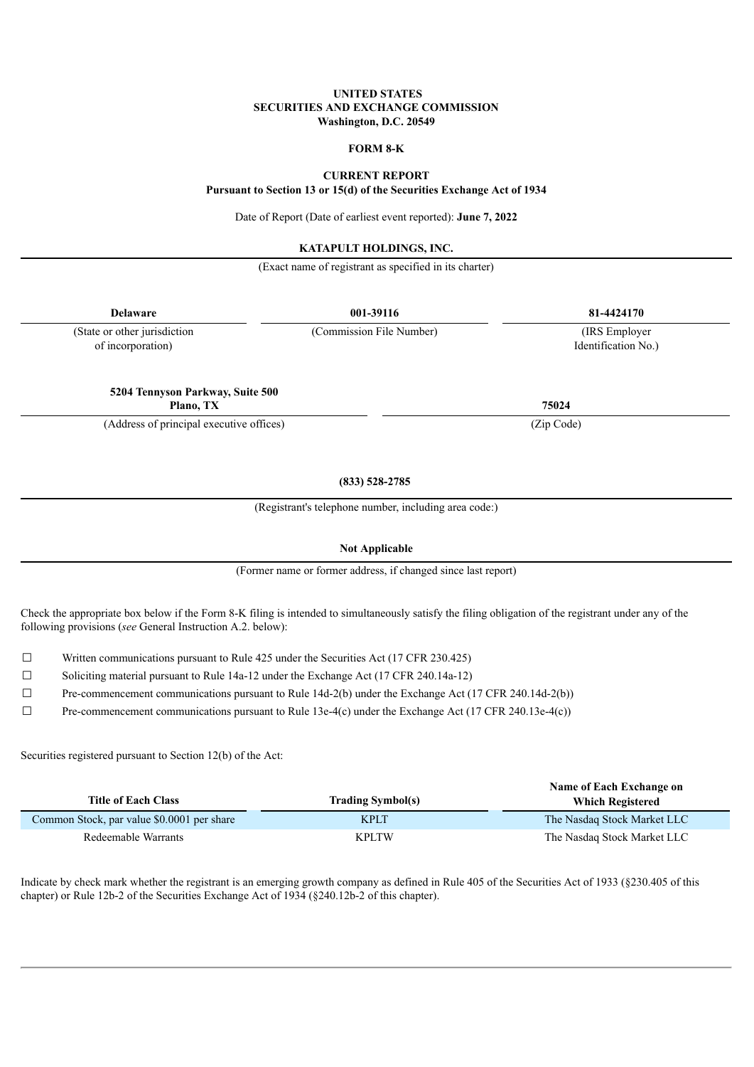## **UNITED STATES SECURITIES AND EXCHANGE COMMISSION Washington, D.C. 20549**

# **FORM 8-K**

# **CURRENT REPORT**

**Pursuant to Section 13 or 15(d) of the Securities Exchange Act of 1934**

Date of Report (Date of earliest event reported): **June 7, 2022**

#### **KATAPULT HOLDINGS, INC.**

(Exact name of registrant as specified in its charter)

| <b>Delaware</b>                                   | 001-39116                                             | 81-4424170<br>(IRS Employer<br>Identification No.) |  |
|---------------------------------------------------|-------------------------------------------------------|----------------------------------------------------|--|
| (State or other jurisdiction<br>of incorporation) | (Commission File Number)                              |                                                    |  |
| 5204 Tennyson Parkway, Suite 500<br>Plano, TX     |                                                       | 75024                                              |  |
| (Address of principal executive offices)          |                                                       | (Zip Code)                                         |  |
|                                                   | $(833)$ 528-2785                                      |                                                    |  |
|                                                   | (Registrant's telephone number, including area code:) |                                                    |  |

**Not Applicable**

(Former name or former address, if changed since last report)

Check the appropriate box below if the Form 8-K filing is intended to simultaneously satisfy the filing obligation of the registrant under any of the following provisions (*see* General Instruction A.2. below):

 $\Box$  Written communications pursuant to Rule 425 under the Securities Act (17 CFR 230.425)

☐ Soliciting material pursuant to Rule 14a-12 under the Exchange Act (17 CFR 240.14a-12)

 $\Box$  Pre-commencement communications pursuant to Rule 14d-2(b) under the Exchange Act (17 CFR 240.14d-2(b))

 $\Box$  Pre-commencement communications pursuant to Rule 13e-4(c) under the Exchange Act (17 CFR 240.13e-4(c))

Securities registered pursuant to Section 12(b) of the Act:

| <b>Title of Each Class</b>                 | <b>Trading Symbol(s)</b> | Name of Each Exchange on<br><b>Which Registered</b> |
|--------------------------------------------|--------------------------|-----------------------------------------------------|
| Common Stock, par value \$0.0001 per share | <b>KPLT</b>              | The Nasdaq Stock Market LLC                         |
| Redeemable Warrants                        | <b>KPLTW</b>             | The Nasdaq Stock Market LLC                         |

Indicate by check mark whether the registrant is an emerging growth company as defined in Rule 405 of the Securities Act of 1933 (§230.405 of this chapter) or Rule 12b-2 of the Securities Exchange Act of 1934 (§240.12b-2 of this chapter).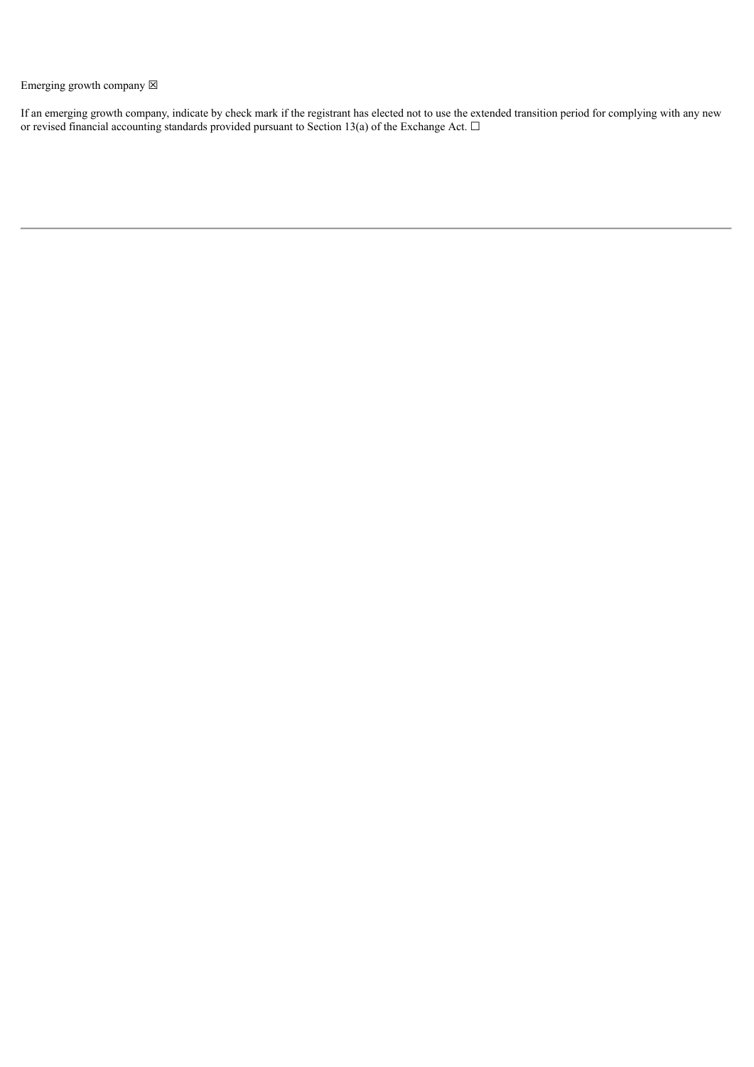Emerging growth company  $\boxtimes$ 

If an emerging growth company, indicate by check mark if the registrant has elected not to use the extended transition period for complying with any new or revised financial accounting standards provided pursuant to Section 13(a) of the Exchange Act.  $\Box$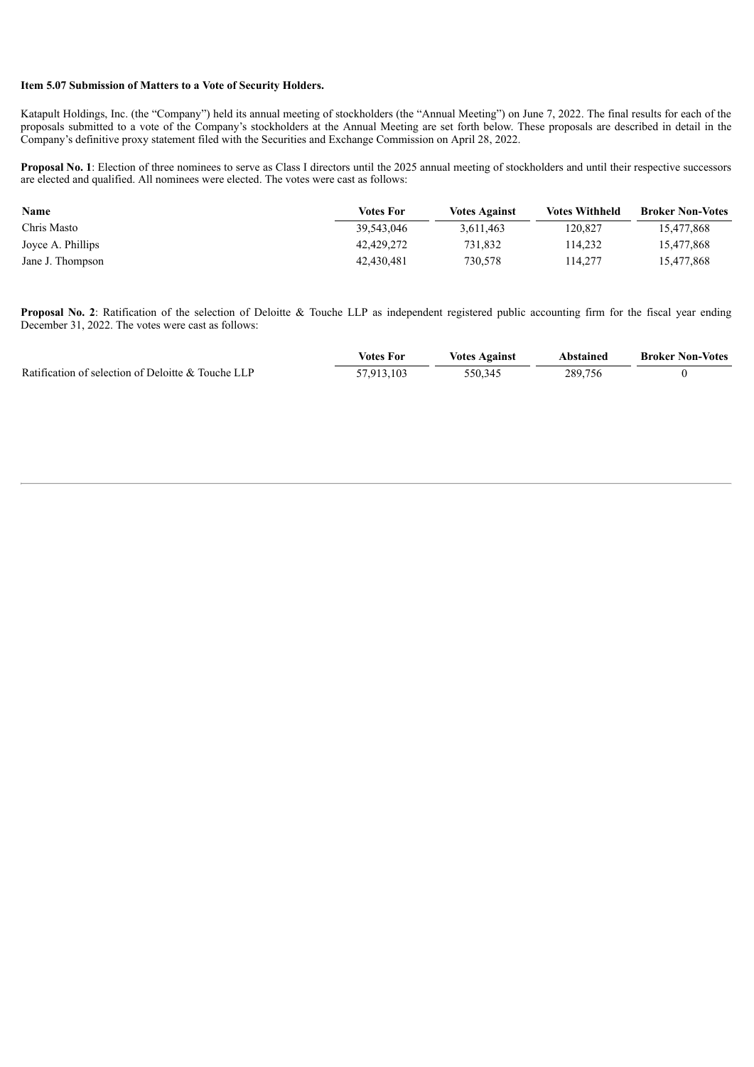### **Item 5.07 Submission of Matters to a Vote of Security Holders.**

Katapult Holdings, Inc. (the "Company") held its annual meeting of stockholders (the "Annual Meeting") on June 7, 2022. The final results for each of the proposals submitted to a vote of the Company's stockholders at the Annual Meeting are set forth below. These proposals are described in detail in the Company's definitive proxy statement filed with the Securities and Exchange Commission on April 28, 2022.

**Proposal No. 1**: Election of three nominees to serve as Class I directors until the 2025 annual meeting of stockholders and until their respective successors are elected and qualified. All nominees were elected. The votes were cast as follows:

| Name              | <b>Votes For</b> | <b>Votes Against</b> | <b>Votes Withheld</b> | <b>Broker Non-Votes</b> |
|-------------------|------------------|----------------------|-----------------------|-------------------------|
| Chris Masto       | 39.543.046       | 3,611,463            | 120.827               | 15,477,868              |
| Joyce A. Phillips | 42.429.272       | 731.832              | 114.232               | 15,477,868              |
| Jane J. Thompson  | 42.430.481       | 730.578              | 114.277               | 15,477,868              |

**Proposal No. 2**: Ratification of the selection of Deloitte & Touche LLP as independent registered public accounting firm for the fiscal year ending December 31, 2022. The votes were cast as follows:

|                                                    | Votes For   | <b>Votes Against</b> | Abstained | <b>Broker Non-Votes</b> |
|----------------------------------------------------|-------------|----------------------|-----------|-------------------------|
| Ratification of selection of Deloitte & Touche LLP | $-7913.103$ | 550.345              | 289.756   |                         |